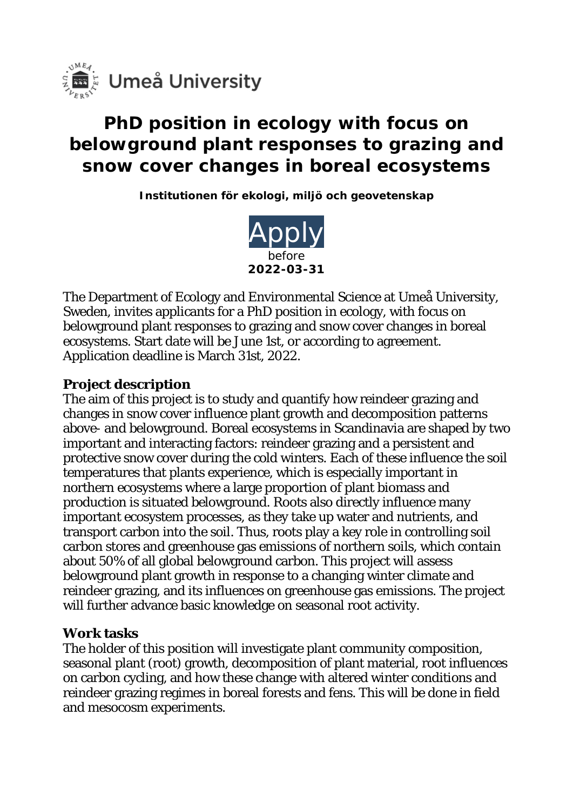

# **PhD position in ecology with focus on belowground plant responses to grazing and snow cover changes in boreal ecosystems**

**Institutionen för ekologi, miljö och geovetenskap**



The Department of Ecology and Environmental Science at Umeå University, Sweden, invites applicants for a PhD position in ecology, with focus on belowground plant responses to grazing and snow cover changes in boreal ecosystems. Start date will be June 1st, or according to agreement. Application deadline is March 31st, 2022.

# **Project description**

The aim of this project is to study and quantify how reindeer grazing and changes in snow cover influence plant growth and decomposition patterns above- and belowground. Boreal ecosystems in Scandinavia are shaped by two important and interacting factors: reindeer grazing and a persistent and protective snow cover during the cold winters. Each of these influence the soil temperatures that plants experience, which is especially important in northern ecosystems where a large proportion of plant biomass and production is situated belowground. Roots also directly influence many important ecosystem processes, as they take up water and nutrients, and transport carbon into the soil. Thus, roots play a key role in controlling soil carbon stores and greenhouse gas emissions of northern soils, which contain about 50% of all global belowground carbon. This project will assess belowground plant growth in response to a changing winter climate and reindeer grazing, and its influences on greenhouse gas emissions. The project will further advance basic knowledge on seasonal root activity.

#### **Work tasks**

The holder of this position will investigate plant community composition, seasonal plant (root) growth, decomposition of plant material, root influences on carbon cycling, and how these change with altered winter conditions and reindeer grazing regimes in boreal forests and fens. This will be done in field and mesocosm experiments.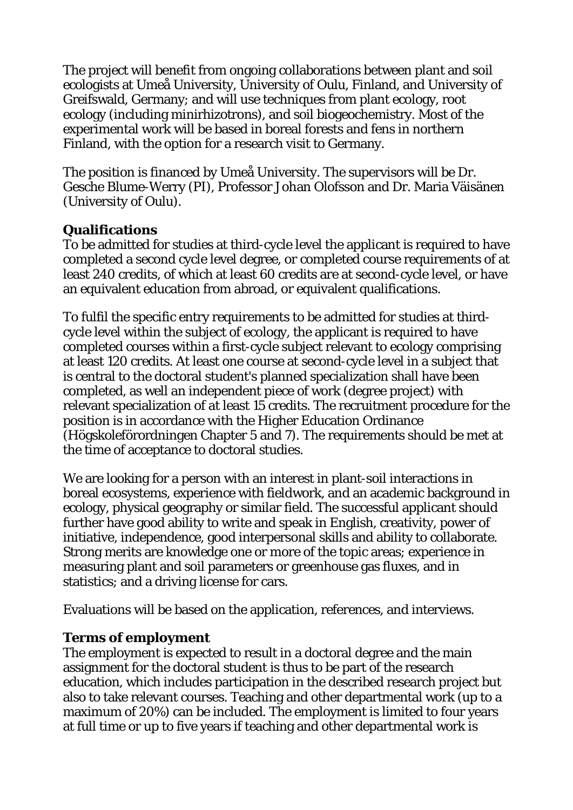The project will benefit from ongoing collaborations between plant and soil ecologists at Umeå University, University of Oulu, Finland, and University of Greifswald, Germany; and will use techniques from plant ecology, root ecology (including minirhizotrons), and soil biogeochemistry. Most of the experimental work will be based in boreal forests and fens in northern Finland, with the option for a research visit to Germany.

The position is financed by Umeå University. The supervisors will be Dr. Gesche Blume-Werry (PI), Professor Johan Olofsson and Dr. Maria Väisänen (University of Oulu).

# **Qualifications**

To be admitted for studies at third-cycle level the applicant is required to have completed a second cycle level degree, or completed course requirements of at least 240 credits, of which at least 60 credits are at second-cycle level, or have an equivalent education from abroad, or equivalent qualifications.

To fulfil the specific entry requirements to be admitted for studies at thirdcycle level within the subject of ecology, the applicant is required to have completed courses within a first-cycle subject relevant to ecology comprising at least 120 credits. At least one course at second-cycle level in a subject that is central to the doctoral student's planned specialization shall have been completed, as well an independent piece of work (degree project) with relevant specialization of at least 15 credits. The recruitment procedure for the position is in accordance with the Higher Education Ordinance (Högskoleförordningen Chapter 5 and 7). The requirements should be met at the time of acceptance to doctoral studies.

We are looking for a person with an interest in plant-soil interactions in boreal ecosystems, experience with fieldwork, and an academic background in ecology, physical geography or similar field. The successful applicant should further have good ability to write and speak in English, creativity, power of initiative, independence, good interpersonal skills and ability to collaborate. Strong merits are knowledge one or more of the topic areas; experience in measuring plant and soil parameters or greenhouse gas fluxes, and in statistics; and a driving license for cars.

Evaluations will be based on the application, references, and interviews.

### **Terms of employment**

The employment is expected to result in a doctoral degree and the main assignment for the doctoral student is thus to be part of the research education, which includes participation in the described research project but also to take relevant courses. Teaching and other departmental work (up to a maximum of 20%) can be included. The employment is limited to four years at full time or up to five years if teaching and other departmental work is